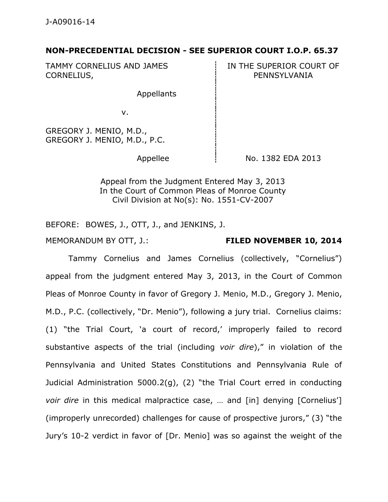## **NON-PRECEDENTIAL DECISION - SEE SUPERIOR COURT I.O.P. 65.37**

TAMMY CORNELIUS AND JAMES CORNELIUS,

IN THE SUPERIOR COURT OF PENNSYLVANIA

Appellants

v.

GREGORY J. MENIO, M.D., GREGORY J. MENIO, M.D., P.C.

Appellee  $\overline{1}$  No. 1382 EDA 2013

Appeal from the Judgment Entered May 3, 2013 In the Court of Common Pleas of Monroe County Civil Division at No(s): No. 1551-CV-2007

BEFORE: BOWES, J., OTT, J., and JENKINS, J.

## MEMORANDUM BY OTT, J.: **FILED NOVEMBER 10, 2014**

Tammy Cornelius and James Cornelius (collectively, "Cornelius") appeal from the judgment entered May 3, 2013, in the Court of Common Pleas of Monroe County in favor of Gregory J. Menio, M.D., Gregory J. Menio, M.D., P.C. (collectively, "Dr. Menio"), following a jury trial. Cornelius claims: (1) "the Trial Court, 'a court of record,' improperly failed to record substantive aspects of the trial (including *voir dire*)," in violation of the Pennsylvania and United States Constitutions and Pennsylvania Rule of Judicial Administration 5000.2(g), (2) "the Trial Court erred in conducting *voir dire* in this medical malpractice case, ... and [in] denying [Cornelius'] (improperly unrecorded) challenges for cause of prospective jurors," (3) "the Jury's 10-2 verdict in favor of [Dr. Menio] was so against the weight of the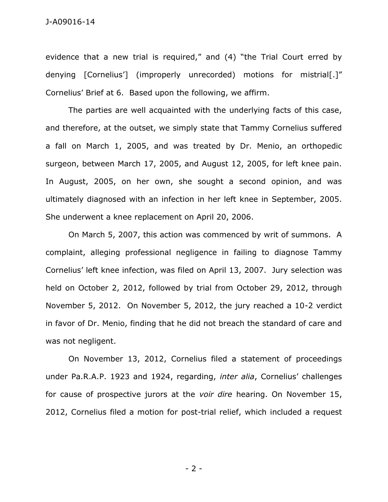evidence that a new trial is required," and (4) "the Trial Court erred by denying [Cornelius'] (improperly unrecorded) motions for mistrial[.]" Cornelius' Brief at 6. Based upon the following, we affirm.

The parties are well acquainted with the underlying facts of this case, and therefore, at the outset, we simply state that Tammy Cornelius suffered a fall on March 1, 2005, and was treated by Dr. Menio, an orthopedic surgeon, between March 17, 2005, and August 12, 2005, for left knee pain. In August, 2005, on her own, she sought a second opinion, and was ultimately diagnosed with an infection in her left knee in September, 2005. She underwent a knee replacement on April 20, 2006.

On March 5, 2007, this action was commenced by writ of summons. A complaint, alleging professional negligence in failing to diagnose Tammy Cornelius' left knee infection, was filed on April 13, 2007. Jury selection was held on October 2, 2012, followed by trial from October 29, 2012, through November 5, 2012. On November 5, 2012, the jury reached a 10-2 verdict in favor of Dr. Menio, finding that he did not breach the standard of care and was not negligent.

On November 13, 2012, Cornelius filed a statement of proceedings under Pa.R.A.P. 1923 and 1924, regarding, *inter alia*, Cornelius' challenges for cause of prospective jurors at the *voir dire* hearing. On November 15, 2012, Cornelius filed a motion for post-trial relief, which included a request

- 2 -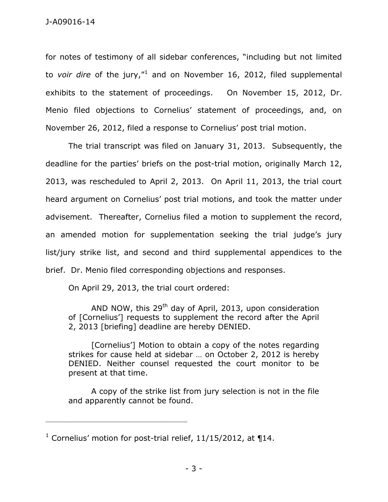for notes of testimony of all sidebar conferences, "including but not limited to *voir dire* of the jury,"<sup>1</sup> and on November 16, 2012, filed supplemental exhibits to the statement of proceedings. On November 15, 2012, Dr. Menio filed objections to Cornelius' statement of proceedings, and, on November 26, 2012, filed a response to Cornelius' post trial motion.

The trial transcript was filed on January 31, 2013. Subsequently, the deadline for the parties' briefs on the post-trial motion, originally March 12, 2013, was rescheduled to April 2, 2013. On April 11, 2013, the trial court heard argument on Cornelius' post trial motions, and took the matter under advisement. Thereafter, Cornelius filed a motion to supplement the record, an amended motion for supplementation seeking the trial judge's jury list/jury strike list, and second and third supplemental appendices to the brief. Dr. Menio filed corresponding objections and responses.

On April 29, 2013, the trial court ordered:

AND NOW, this 29<sup>th</sup> day of April, 2013, upon consideration of [Cornelius'] requests to supplement the record after the April 2, 2013 [briefing] deadline are hereby DENIED.

[Cornelius'] Motion to obtain a copy of the notes regarding strikes for cause held at sidebar … on October 2, 2012 is hereby DENIED. Neither counsel requested the court monitor to be present at that time.

A copy of the strike list from jury selection is not in the file and apparently cannot be found.

\_\_\_\_\_\_\_\_\_\_\_\_\_\_\_\_\_\_\_\_\_\_\_\_\_\_\_\_\_\_\_\_\_\_\_\_\_\_\_\_\_\_\_\_

<sup>&</sup>lt;sup>1</sup> Cornelius' motion for post-trial relief,  $11/15/2012$ , at  $\P{14}$ .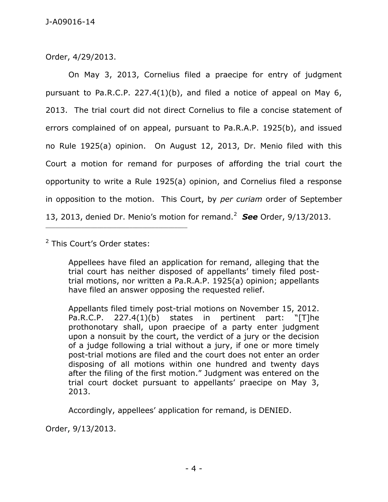Order, 4/29/2013.

On May 3, 2013, Cornelius filed a praecipe for entry of judgment pursuant to Pa.R.C.P. 227.4(1)(b), and filed a notice of appeal on May  $6$ , 2013. The trial court did not direct Cornelius to file a concise statement of errors complained of on appeal, pursuant to Pa.R.A.P. 1925(b), and issued no Rule 1925(a) opinion. On August 12, 2013, Dr. Menio filed with this Court a motion for remand for purposes of affording the trial court the opportunity to write a Rule 1925(a) opinion, and Cornelius filed a response in opposition to the motion. This Court, by *per curiam* order of September 13, 2013, denied Dr. Menio's motion for remand.<sup>2</sup> *See* Order, 9/13/2013.

<sup>2</sup> This Court's Order states:

Appellees have filed an application for remand, alleging that the trial court has neither disposed of appellants' timely filed posttrial motions, nor written a Pa.R.A.P. 1925(a) opinion; appellants have filed an answer opposing the requested relief.

Appellants filed timely post-trial motions on November 15, 2012. Pa.R.C.P. 227.4(1)(b) states in pertinent part: "[T]he prothonotary shall, upon praecipe of a party enter judgment upon a nonsuit by the court, the verdict of a jury or the decision of a judge following a trial without a jury, if one or more timely post-trial motions are filed and the court does not enter an order disposing of all motions within one hundred and twenty days after the filing of the first motion." Judgment was entered on the trial court docket pursuant to appellants' praecipe on May 3, 2013.

Accordingly, appellees' application for remand, is DENIED.

Order, 9/13/2013.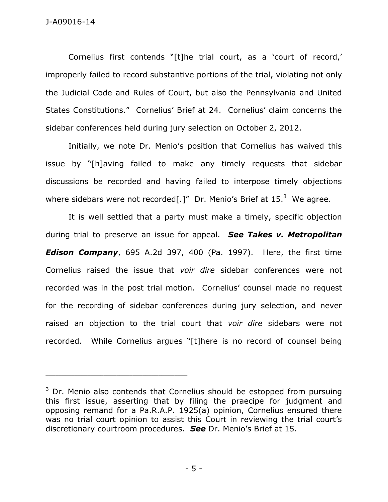Cornelius first contends "[t]he trial court, as a 'court of record,' improperly failed to record substantive portions of the trial, violating not only the Judicial Code and Rules of Court, but also the Pennsylvania and United States Constitutions." Cornelius' Brief at 24. Cornelius' claim concerns the sidebar conferences held during jury selection on October 2, 2012.

Initially, we note Dr. Menio's position that Cornelius has waived this issue by "[h]aving failed to make any timely requests that sidebar discussions be recorded and having failed to interpose timely objections where sidebars were not recorded[.]" Dr. Menio's Brief at  $15.^3$  We agree.

It is well settled that a party must make a timely, specific objection during trial to preserve an issue for appeal. *See Takes v. Metropolitan Edison Company*, 695 A.2d 397, 400 (Pa. 1997). Here, the first time Cornelius raised the issue that *voir dire* sidebar conferences were not recorded was in the post trial motion. Cornelius' counsel made no request for the recording of sidebar conferences during jury selection, and never raised an objection to the trial court that *voir dire* sidebars were not recorded. While Cornelius argues "[t]here is no record of counsel being

\_\_\_\_\_\_\_\_\_\_\_\_\_\_\_\_\_\_\_\_\_\_\_\_\_\_\_\_\_\_\_\_\_\_\_\_\_\_\_\_\_\_\_\_

 $3$  Dr. Menio also contends that Cornelius should be estopped from pursuing this first issue, asserting that by filing the praecipe for judgment and opposing remand for a Pa.R.A.P. 1925(a) opinion, Cornelius ensured there was no trial court opinion to assist this Court in reviewing the trial court's discretionary courtroom procedures. *See* Dr. Menio's Brief at 15.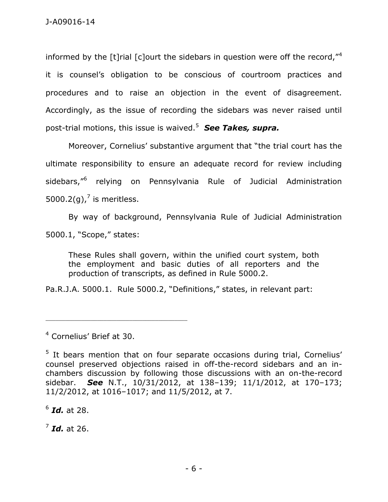informed by the  $\lceil t \rceil$ rial  $\lceil c \rceil$ ourt the sidebars in question were off the record,  $r^4$ it is counsel's obligation to be conscious of courtroom practices and procedures and to raise an objection in the event of disagreement. Accordingly, as the issue of recording the sidebars was never raised until post-trial motions, this issue is waived.<sup>5</sup> *See Takes, supra.* 

Moreover, Cornelius' substantive argument that "the trial court has the ultimate responsibility to ensure an adequate record for review including sidebars,"<sup>6</sup> relying on Pennsylvania Rule of Judicial Administration 5000.2(g),<sup>7</sup> is meritless.

By way of background, Pennsylvania Rule of Judicial Administration 5000.1, "Scope," states:

These Rules shall govern, within the unified court system, both the employment and basic duties of all reporters and the production of transcripts, as defined in Rule 5000.2.

Pa.R.J.A. 5000.1. Rule 5000.2, "Definitions," states, in relevant part:

\_\_\_\_\_\_\_\_\_\_\_\_\_\_\_\_\_\_\_\_\_\_\_\_\_\_\_\_\_\_\_\_\_\_\_\_\_\_\_\_\_\_\_\_

6 *Id.* at 28.

7 *Id.* at 26.

<sup>4</sup> Cornelius' Brief at 30.

<sup>&</sup>lt;sup>5</sup> It bears mention that on four separate occasions during trial, Cornelius' counsel preserved objections raised in off-the-record sidebars and an inchambers discussion by following those discussions with an on-the-record sidebar. *See* N.T., 10/31/2012, at 138–139; 11/1/2012, at 170–173; 11/2/2012, at 1016–1017; and 11/5/2012, at 7.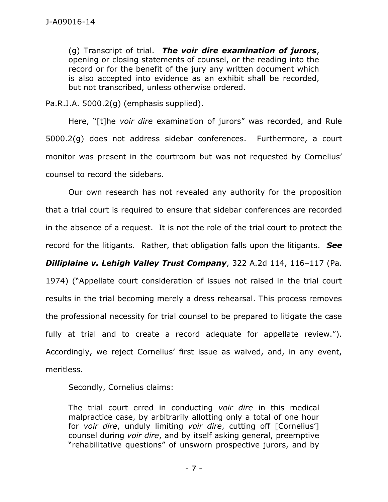(g) Transcript of trial. *The voir dire examination of jurors*, opening or closing statements of counsel, or the reading into the record or for the benefit of the jury any written document which is also accepted into evidence as an exhibit shall be recorded, but not transcribed, unless otherwise ordered.

Pa.R.J.A. 5000.2(g) (emphasis supplied).

Here, "[t]he *voir dire* examination of jurors" was recorded, and Rule 5000.2(g) does not address sidebar conferences. Furthermore, a court monitor was present in the courtroom but was not requested by Cornelius' counsel to record the sidebars.

Our own research has not revealed any authority for the proposition that a trial court is required to ensure that sidebar conferences are recorded in the absence of a request. It is not the role of the trial court to protect the record for the litigants. Rather, that obligation falls upon the litigants. *See Dilliplaine v. Lehigh Valley Trust Company*, 322 A.2d 114, 116–117 (Pa. 1974) ("Appellate court consideration of issues not raised in the trial court results in the trial becoming merely a dress rehearsal. This process removes the professional necessity for trial counsel to be prepared to litigate the case fully at trial and to create a record adequate for appellate review."). Accordingly, we reject Cornelius' first issue as waived, and, in any event, meritless.

Secondly, Cornelius claims:

The trial court erred in conducting *voir dire* in this medical malpractice case, by arbitrarily allotting only a total of one hour for *voir dire*, unduly limiting *voir dire*, cutting off [Cornelius'] counsel during *voir dire*, and by itself asking general, preemptive "rehabilitative questions" of unsworn prospective jurors, and by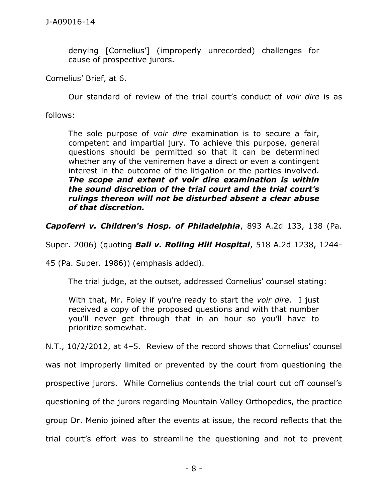denying [Cornelius'] (improperly unrecorded) challenges for cause of prospective jurors.

Cornelius' Brief, at 6.

Our standard of review of the trial court's conduct of *voir dire* is as

follows:

The sole purpose of *voir dire* examination is to secure a fair, competent and impartial jury. To achieve this purpose, general questions should be permitted so that it can be determined whether any of the veniremen have a direct or even a contingent interest in the outcome of the litigation or the parties involved. *The scope and extent of voir dire examination is within the sound discretion of the trial court and the trial court's rulings thereon will not be disturbed absent a clear abuse of that discretion.*

*Capoferri v. Children's Hosp. of Philadelphia*, 893 A.2d 133, 138 (Pa.

Super. 2006) (quoting *Ball v. Rolling Hill Hospital*, 518 A.2d 1238, 1244-

45 (Pa. Super. 1986)) (emphasis added).

The trial judge, at the outset, addressed Cornelius' counsel stating:

With that, Mr. Foley if you're ready to start the *voir dire*. I just received a copy of the proposed questions and with that number you'll never get through that in an hour so you'll have to prioritize somewhat.

N.T., 10/2/2012, at 4–5. Review of the record shows that Cornelius' counsel

was not improperly limited or prevented by the court from questioning the

prospective jurors. While Cornelius contends the trial court cut off counsel's

questioning of the jurors regarding Mountain Valley Orthopedics, the practice

group Dr. Menio joined after the events at issue, the record reflects that the

trial court's effort was to streamline the questioning and not to prevent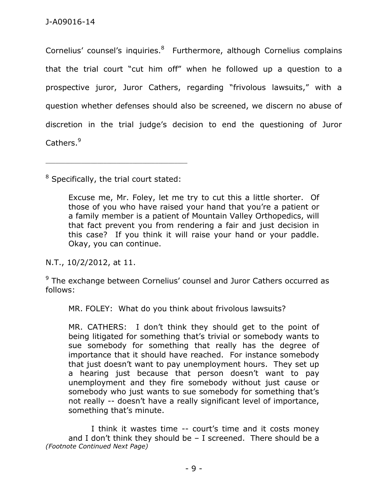Cornelius' counsel's inquiries.<sup>8</sup> Furthermore, although Cornelius complains that the trial court "cut him off" when he followed up a question to a prospective juror, Juror Cathers, regarding "frivolous lawsuits," with a question whether defenses should also be screened, we discern no abuse of discretion in the trial judge's decision to end the questioning of Juror Cathers.<sup>9</sup>

 $8$  Specifically, the trial court stated:

\_\_\_\_\_\_\_\_\_\_\_\_\_\_\_\_\_\_\_\_\_\_\_\_\_\_\_\_\_\_\_\_\_\_\_\_\_\_\_\_\_\_\_\_

Excuse me, Mr. Foley, let me try to cut this a little shorter. Of those of you who have raised your hand that you're a patient or a family member is a patient of Mountain Valley Orthopedics, will that fact prevent you from rendering a fair and just decision in this case? If you think it will raise your hand or your paddle. Okay, you can continue.

N.T., 10/2/2012, at 11.

 $9$  The exchange between Cornelius' counsel and Juror Cathers occurred as follows:

MR. FOLEY: What do you think about frivolous lawsuits?

MR. CATHERS: I don't think they should get to the point of being litigated for something that's trivial or somebody wants to sue somebody for something that really has the degree of importance that it should have reached. For instance somebody that just doesn't want to pay unemployment hours. They set up a hearing just because that person doesn't want to pay unemployment and they fire somebody without just cause or somebody who just wants to sue somebody for something that's not really -- doesn't have a really significant level of importance, something that's minute.

I think it wastes time -- court's time and it costs money and I don't think they should be  $-$  I screened. There should be a *(Footnote Continued Next Page)*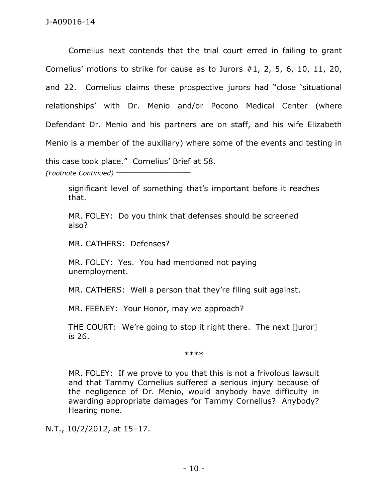Cornelius next contends that the trial court erred in failing to grant Cornelius' motions to strike for cause as to Jurors #1, 2, 5, 6, 10, 11, 20, and 22. Cornelius claims these prospective jurors had "close 'situational relationships' with Dr. Menio and/or Pocono Medical Center (where Defendant Dr. Menio and his partners are on staff, and his wife Elizabeth Menio is a member of the auxiliary) where some of the events and testing in this case took place." Cornelius' Brief at 58. *(Footnote Continued)* \_\_\_\_\_\_\_\_\_\_\_\_\_\_\_\_\_\_\_\_\_\_\_

significant level of something that's important before it reaches that.

MR. FOLEY: Do you think that defenses should be screened also?

MR. CATHERS: Defenses?

MR. FOLEY: Yes. You had mentioned not paying unemployment.

MR. CATHERS: Well a person that they're filing suit against.

MR. FEENEY: Your Honor, may we approach?

THE COURT: We're going to stop it right there. The next [juror] is 26.

\*\*\*\*

MR. FOLEY: If we prove to you that this is not a frivolous lawsuit and that Tammy Cornelius suffered a serious injury because of the negligence of Dr. Menio, would anybody have difficulty in awarding appropriate damages for Tammy Cornelius? Anybody? Hearing none.

N.T., 10/2/2012, at 15–17.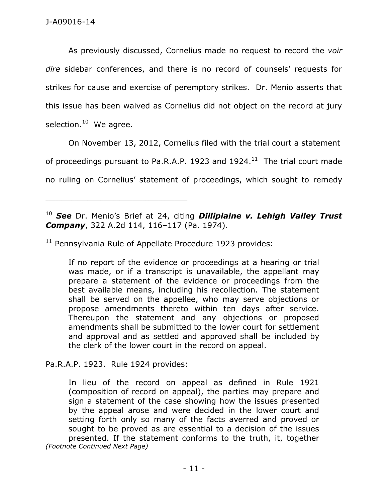As previously discussed, Cornelius made no request to record the *voir dire* sidebar conferences, and there is no record of counsels' requests for strikes for cause and exercise of peremptory strikes. Dr. Menio asserts that this issue has been waived as Cornelius did not object on the record at jury selection.<sup>10</sup> We agree.

On November 13, 2012, Cornelius filed with the trial court a statement of proceedings pursuant to Pa.R.A.P. 1923 and 1924. $^{11}$  The trial court made no ruling on Cornelius' statement of proceedings, which sought to remedy

<sup>10</sup> *See* Dr. Menio's Brief at 24, citing *Dilliplaine v. Lehigh Valley Trust Company*, 322 A.2d 114, 116–117 (Pa. 1974).

<sup>11</sup> Pennsylvania Rule of Appellate Procedure 1923 provides:

If no report of the evidence or proceedings at a hearing or trial was made, or if a transcript is unavailable, the appellant may prepare a statement of the evidence or proceedings from the best available means, including his recollection. The statement shall be served on the appellee, who may serve objections or propose amendments thereto within ten days after service. Thereupon the statement and any objections or proposed amendments shall be submitted to the lower court for settlement and approval and as settled and approved shall be included by the clerk of the lower court in the record on appeal.

Pa.R.A.P. 1923. Rule 1924 provides:

\_\_\_\_\_\_\_\_\_\_\_\_\_\_\_\_\_\_\_\_\_\_\_\_\_\_\_\_\_\_\_\_\_\_\_\_\_\_\_\_\_\_\_\_

In lieu of the record on appeal as defined in Rule 1921 (composition of record on appeal), the parties may prepare and sign a statement of the case showing how the issues presented by the appeal arose and were decided in the lower court and setting forth only so many of the facts averred and proved or sought to be proved as are essential to a decision of the issues presented. If the statement conforms to the truth, it, together *(Footnote Continued Next Page)*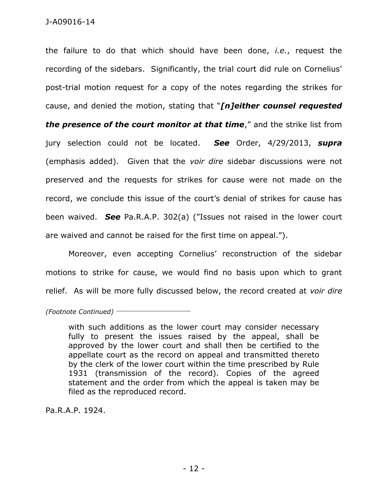the failure to do that which should have been done, *i.e.*, request the recording of the sidebars. Significantly, the trial court did rule on Cornelius' post-trial motion request for a copy of the notes regarding the strikes for cause, and denied the motion, stating that "*[n]either counsel requested the presence of the court monitor at that time*," and the strike list from jury selection could not be located. *See* Order, 4/29/2013, *supra*  (emphasis added). Given that the *voir dire* sidebar discussions were not preserved and the requests for strikes for cause were not made on the record, we conclude this issue of the court's denial of strikes for cause has been waived. *See* Pa.R.A.P. 302(a) ("Issues not raised in the lower court are waived and cannot be raised for the first time on appeal.").

Moreover, even accepting Cornelius' reconstruction of the sidebar motions to strike for cause, we would find no basis upon which to grant relief. As will be more fully discussed below, the record created at *voir dire*

*(Footnote Continued)* \_\_\_\_\_\_\_\_\_\_\_\_\_\_\_\_\_\_\_\_\_\_\_

with such additions as the lower court may consider necessary fully to present the issues raised by the appeal, shall be approved by the lower court and shall then be certified to the appellate court as the record on appeal and transmitted thereto by the clerk of the lower court within the time prescribed by Rule 1931 (transmission of the record). Copies of the agreed statement and the order from which the appeal is taken may be filed as the reproduced record.

Pa.R.A.P. 1924.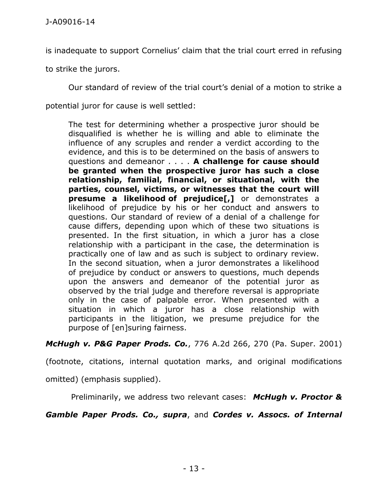is inadequate to support Cornelius' claim that the trial court erred in refusing

to strike the jurors.

Our standard of review of the trial court's denial of a motion to strike a

potential juror for cause is well settled:

The test for determining whether a prospective juror should be disqualified is whether he is willing and able to eliminate the influence of any scruples and render a verdict according to the evidence, and this is to be determined on the basis of answers to questions and demeanor . . . . **A challenge for cause should be granted when the prospective juror has such a close relationship, familial, financial, or situational, with the parties, counsel, victims, or witnesses that the court will presume a likelihood of prejudice[,]** or demonstrates a likelihood of prejudice by his or her conduct and answers to questions. Our standard of review of a denial of a challenge for cause differs, depending upon which of these two situations is presented. In the first situation, in which a juror has a close relationship with a participant in the case, the determination is practically one of law and as such is subject to ordinary review. In the second situation, when a juror demonstrates a likelihood of prejudice by conduct or answers to questions, much depends upon the answers and demeanor of the potential juror as observed by the trial judge and therefore reversal is appropriate only in the case of palpable error. When presented with a situation in which a juror has a close relationship with participants in the litigation, we presume prejudice for the purpose of [en]suring fairness.

*McHugh v. P&G Paper Prods. Co.*, 776 A.2d 266, 270 (Pa. Super. 2001)

(footnote, citations, internal quotation marks, and original modifications

omitted) (emphasis supplied).

Preliminarily, we address two relevant cases: *McHugh v. Proctor &* 

*Gamble Paper Prods. Co., supra*, and *Cordes v. Assocs. of Internal*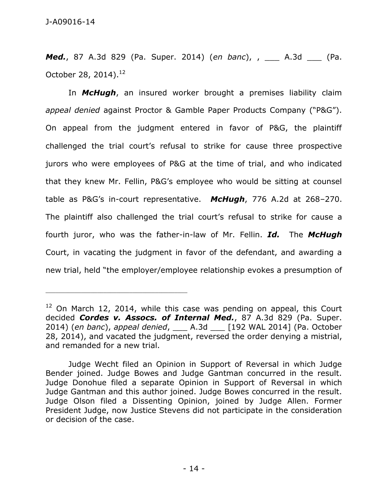*Med.*, 87 A.3d 829 (Pa. Super. 2014) (*en banc*), , \_\_\_ A.3d \_\_\_ (Pa. October 28, 2014).<sup>12</sup>

In *McHugh*, an insured worker brought a premises liability claim *appeal denied* against Proctor & Gamble Paper Products Company ("P&G"). On appeal from the judgment entered in favor of P&G, the plaintiff challenged the trial court's refusal to strike for cause three prospective jurors who were employees of P&G at the time of trial, and who indicated that they knew Mr. Fellin, P&G's employee who would be sitting at counsel table as P&G's in-court representative. *McHugh*, 776 A.2d at 268–270. The plaintiff also challenged the trial court's refusal to strike for cause a fourth juror, who was the father-in-law of Mr. Fellin. *Id.* The *McHugh* Court, in vacating the judgment in favor of the defendant, and awarding a new trial, held "the employer/employee relationship evokes a presumption of

\_\_\_\_\_\_\_\_\_\_\_\_\_\_\_\_\_\_\_\_\_\_\_\_\_\_\_\_\_\_\_\_\_\_\_\_\_\_\_\_\_\_\_\_

 $12$  On March 12, 2014, while this case was pending on appeal, this Court decided *Cordes v. Assocs. of Internal Med.*, 87 A.3d 829 (Pa. Super. 2014) (*en banc*), *appeal denied*, \_\_\_ A.3d \_\_\_ [192 WAL 2014] (Pa. October 28, 2014), and vacated the judgment, reversed the order denying a mistrial, and remanded for a new trial.

Judge Wecht filed an Opinion in Support of Reversal in which Judge Bender joined. Judge Bowes and Judge Gantman concurred in the result. Judge Donohue filed a separate Opinion in Support of Reversal in which Judge Gantman and this author joined. Judge Bowes concurred in the result. Judge Olson filed a Dissenting Opinion, joined by Judge Allen. Former President Judge, now Justice Stevens did not participate in the consideration or decision of the case.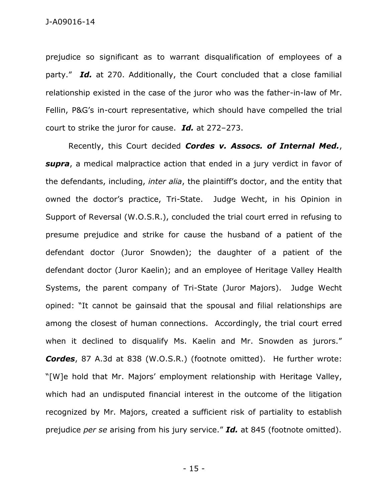prejudice so significant as to warrant disqualification of employees of a party." *Id.* at 270. Additionally, the Court concluded that a close familial relationship existed in the case of the juror who was the father-in-law of Mr. Fellin, P&G's in-court representative, which should have compelled the trial court to strike the juror for cause. *Id.* at 272–273.

Recently, this Court decided *Cordes v. Assocs. of Internal Med.*, *supra*, a medical malpractice action that ended in a jury verdict in favor of the defendants, including, *inter alia*, the plaintiff's doctor, and the entity that owned the doctor's practice, Tri-State. Judge Wecht, in his Opinion in Support of Reversal (W.O.S.R.), concluded the trial court erred in refusing to presume prejudice and strike for cause the husband of a patient of the defendant doctor (Juror Snowden); the daughter of a patient of the defendant doctor (Juror Kaelin); and an employee of Heritage Valley Health Systems, the parent company of Tri-State (Juror Majors). Judge Wecht opined: "It cannot be gainsaid that the spousal and filial relationships are among the closest of human connections. Accordingly, the trial court erred when it declined to disqualify Ms. Kaelin and Mr. Snowden as jurors." *Cordes*, 87 A.3d at 838 (W.O.S.R.) (footnote omitted). He further wrote: "[W]e hold that Mr. Majors' employment relationship with Heritage Valley, which had an undisputed financial interest in the outcome of the litigation recognized by Mr. Majors, created a sufficient risk of partiality to establish prejudice *per se* arising from his jury service." *Id.* at 845 (footnote omitted).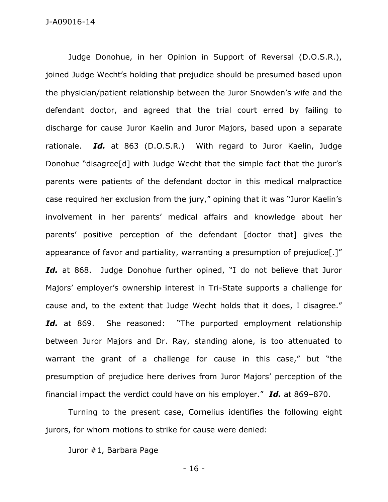Judge Donohue, in her Opinion in Support of Reversal (D.O.S.R.), joined Judge Wecht's holding that prejudice should be presumed based upon the physician/patient relationship between the Juror Snowden's wife and the defendant doctor, and agreed that the trial court erred by failing to discharge for cause Juror Kaelin and Juror Majors, based upon a separate rationale. *Id.* at 863 (D.O.S.R.) With regard to Juror Kaelin, Judge Donohue "disagree[d] with Judge Wecht that the simple fact that the juror's parents were patients of the defendant doctor in this medical malpractice case required her exclusion from the jury," opining that it was "Juror Kaelin's involvement in her parents' medical affairs and knowledge about her parents' positive perception of the defendant [doctor that] gives the appearance of favor and partiality, warranting a presumption of prejudice[.]" Id. at 868. Judge Donohue further opined, "I do not believe that Juror Majors' employer's ownership interest in Tri-State supports a challenge for cause and, to the extent that Judge Wecht holds that it does, I disagree." Id. at 869. She reasoned: "The purported employment relationship between Juror Majors and Dr. Ray, standing alone, is too attenuated to warrant the grant of a challenge for cause in this case," but "the presumption of prejudice here derives from Juror Majors' perception of the financial impact the verdict could have on his employer." *Id.* at 869–870.

Turning to the present case, Cornelius identifies the following eight jurors, for whom motions to strike for cause were denied:

Juror #1, Barbara Page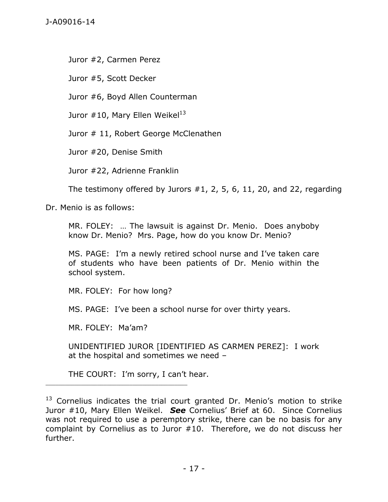Juror #2, Carmen Perez

Juror #5, Scott Decker

Juror #6, Boyd Allen Counterman

Juror  $\#10$ , Mary Ellen Weikel<sup>13</sup>

Juror # 11, Robert George McClenathen

Juror #20, Denise Smith

Juror #22, Adrienne Franklin

The testimony offered by Jurors  $#1, 2, 5, 6, 11, 20,$  and 22, regarding

Dr. Menio is as follows:

MR. FOLEY: … The lawsuit is against Dr. Menio. Does anyboby know Dr. Menio? Mrs. Page, how do you know Dr. Menio?

MS. PAGE: I'm a newly retired school nurse and I've taken care of students who have been patients of Dr. Menio within the school system.

MR. FOLEY: For how long?

MS. PAGE: I've been a school nurse for over thirty years.

MR. FOLEY: Ma'am?

\_\_\_\_\_\_\_\_\_\_\_\_\_\_\_\_\_\_\_\_\_\_\_\_\_\_\_\_\_\_\_\_\_\_\_\_\_\_\_\_\_\_\_\_

UNIDENTIFIED JUROR [IDENTIFIED AS CARMEN PEREZ]: I work at the hospital and sometimes we need –

THE COURT: I'm sorry, I can't hear.

 $13$  Cornelius indicates the trial court granted Dr. Menio's motion to strike Juror #10, Mary Ellen Weikel. *See* Cornelius' Brief at 60. Since Cornelius was not required to use a peremptory strike, there can be no basis for any complaint by Cornelius as to Juror #10. Therefore, we do not discuss her further.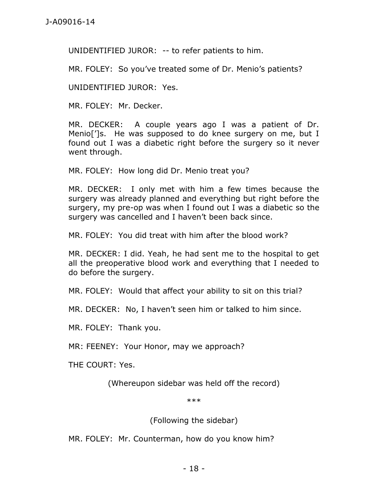UNIDENTIFIED JUROR: -- to refer patients to him.

MR. FOLEY: So you've treated some of Dr. Menio's patients?

UNIDENTIFIED JUROR: Yes.

MR. FOLEY: Mr. Decker.

MR. DECKER: A couple years ago I was a patient of Dr. Menio<sup>[']</sup>s. He was supposed to do knee surgery on me, but I found out I was a diabetic right before the surgery so it never went through.

MR. FOLEY: How long did Dr. Menio treat you?

MR. DECKER: I only met with him a few times because the surgery was already planned and everything but right before the surgery, my pre-op was when I found out I was a diabetic so the surgery was cancelled and I haven't been back since.

MR. FOLEY: You did treat with him after the blood work?

MR. DECKER: I did. Yeah, he had sent me to the hospital to get all the preoperative blood work and everything that I needed to do before the surgery.

MR. FOLEY: Would that affect your ability to sit on this trial?

MR. DECKER: No, I haven't seen him or talked to him since.

MR. FOLEY: Thank you.

MR: FEENEY: Your Honor, may we approach?

THE COURT: Yes.

(Whereupon sidebar was held off the record)

\*\*\*

(Following the sidebar)

MR. FOLEY: Mr. Counterman, how do you know him?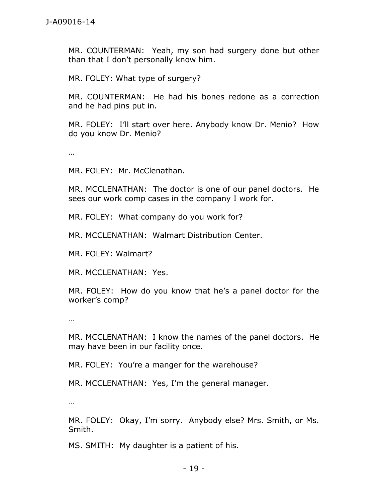MR. COUNTERMAN: Yeah, my son had surgery done but other than that I don't personally know him.

MR. FOLEY: What type of surgery?

MR. COUNTERMAN: He had his bones redone as a correction and he had pins put in.

MR. FOLEY: I'll start over here. Anybody know Dr. Menio? How do you know Dr. Menio?

…

MR. FOLEY: Mr. McClenathan.

MR. MCCLENATHAN: The doctor is one of our panel doctors. He sees our work comp cases in the company I work for.

MR. FOLEY: What company do you work for?

MR. MCCLENATHAN: Walmart Distribution Center.

MR. FOLEY: Walmart?

MR. MCCLENATHAN: Yes.

MR. FOLEY: How do you know that he's a panel doctor for the worker's comp?

…

MR. MCCLENATHAN: I know the names of the panel doctors. He may have been in our facility once.

MR. FOLEY: You're a manger for the warehouse?

MR. MCCLENATHAN: Yes, I'm the general manager.

…

MR. FOLEY: Okay, I'm sorry. Anybody else? Mrs. Smith, or Ms. Smith.

MS. SMITH: My daughter is a patient of his.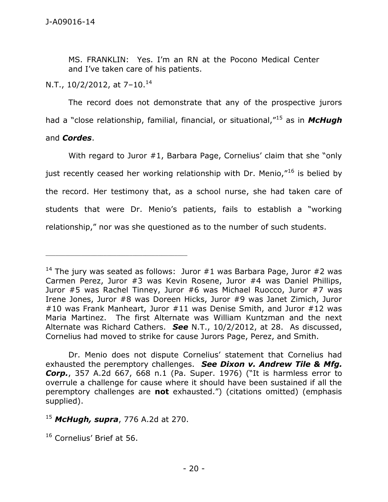MS. FRANKLIN: Yes. I'm an RN at the Pocono Medical Center and I've taken care of his patients.

N.T.,  $10/2/2012$ , at  $7-10$ .<sup>14</sup>

The record does not demonstrate that any of the prospective jurors had a "close relationship, familial, financial, or situational,"<sup>15</sup> as in *McHugh* and *Cordes*.

With regard to Juror #1, Barbara Page, Cornelius' claim that she "only just recently ceased her working relationship with Dr. Menio,"<sup>16</sup> is belied by the record. Her testimony that, as a school nurse, she had taken care of students that were Dr. Menio's patients, fails to establish a "working relationship," nor was she questioned as to the number of such students.

Dr. Menio does not dispute Cornelius' statement that Cornelius had exhausted the peremptory challenges. *See Dixon v. Andrew Tile & Mfg. Corp.*, 357 A.2d 667, 668 n.1 (Pa. Super. 1976) ("It is harmless error to overrule a challenge for cause where it should have been sustained if all the peremptory challenges are **not** exhausted.") (citations omitted) (emphasis supplied).

\_\_\_\_\_\_\_\_\_\_\_\_\_\_\_\_\_\_\_\_\_\_\_\_\_\_\_\_\_\_\_\_\_\_\_\_\_\_\_\_\_\_\_\_

<sup>&</sup>lt;sup>14</sup> The jury was seated as follows: Juror  $#1$  was Barbara Page, Juror  $#2$  was Carmen Perez, Juror #3 was Kevin Rosene, Juror #4 was Daniel Phillips, Juror #5 was Rachel Tinney, Juror #6 was Michael Ruocco, Juror #7 was Irene Jones, Juror #8 was Doreen Hicks, Juror #9 was Janet Zimich, Juror #10 was Frank Manheart, Juror #11 was Denise Smith, and Juror #12 was Maria Martinez. The first Alternate was William Kuntzman and the next Alternate was Richard Cathers. *See* N.T., 10/2/2012, at 28. As discussed, Cornelius had moved to strike for cause Jurors Page, Perez, and Smith.

<sup>15</sup> *McHugh, supra*, 776 A.2d at 270.

<sup>&</sup>lt;sup>16</sup> Cornelius' Brief at 56.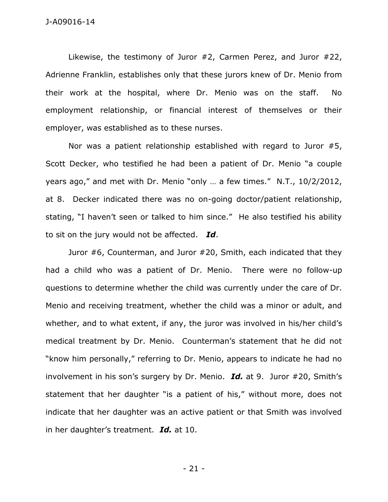Likewise, the testimony of Juror #2, Carmen Perez, and Juror #22, Adrienne Franklin, establishes only that these jurors knew of Dr. Menio from their work at the hospital, where Dr. Menio was on the staff. No employment relationship, or financial interest of themselves or their employer, was established as to these nurses.

Nor was a patient relationship established with regard to Juror #5, Scott Decker, who testified he had been a patient of Dr. Menio "a couple years ago," and met with Dr. Menio "only … a few times." N.T., 10/2/2012, at 8. Decker indicated there was no on-going doctor/patient relationship, stating, "I haven't seen or talked to him since." He also testified his ability to sit on the jury would not be affected. *Id*.

Juror #6, Counterman, and Juror #20, Smith, each indicated that they had a child who was a patient of Dr. Menio. There were no follow-up questions to determine whether the child was currently under the care of Dr. Menio and receiving treatment, whether the child was a minor or adult, and whether, and to what extent, if any, the juror was involved in his/her child's medical treatment by Dr. Menio. Counterman's statement that he did not "know him personally," referring to Dr. Menio, appears to indicate he had no involvement in his son's surgery by Dr. Menio. *Id.* at 9. Juror #20, Smith's statement that her daughter "is a patient of his," without more, does not indicate that her daughter was an active patient or that Smith was involved in her daughter's treatment. *Id.* at 10.

- 21 -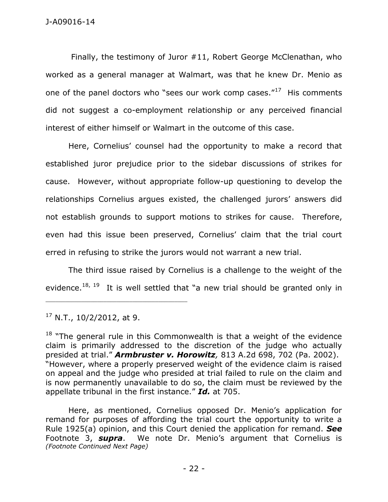Finally, the testimony of Juror #11, Robert George McClenathan, who worked as a general manager at Walmart, was that he knew Dr. Menio as one of the panel doctors who "sees our work comp cases."<sup>17</sup> His comments did not suggest a co-employment relationship or any perceived financial interest of either himself or Walmart in the outcome of this case.

Here, Cornelius' counsel had the opportunity to make a record that established juror prejudice prior to the sidebar discussions of strikes for cause. However, without appropriate follow-up questioning to develop the relationships Cornelius argues existed, the challenged jurors' answers did not establish grounds to support motions to strikes for cause. Therefore, even had this issue been preserved, Cornelius' claim that the trial court erred in refusing to strike the jurors would not warrant a new trial.

The third issue raised by Cornelius is a challenge to the weight of the evidence.<sup>18, 19</sup> It is well settled that "a new trial should be granted only in

 $17$  N.T., 10/2/2012, at 9.

\_\_\_\_\_\_\_\_\_\_\_\_\_\_\_\_\_\_\_\_\_\_\_\_\_\_\_\_\_\_\_\_\_\_\_\_\_\_\_\_\_\_\_\_

Here, as mentioned, Cornelius opposed Dr. Menio's application for remand for purposes of affording the trial court the opportunity to write a Rule 1925(a) opinion, and this Court denied the application for remand. *See* Footnote 3, *supra*. We note Dr. Menio's argument that Cornelius is *(Footnote Continued Next Page)*

 $18$  "The general rule in this Commonwealth is that a weight of the evidence claim is primarily addressed to the discretion of the judge who actually presided at trial." *Armbruster v. Horowitz,* 813 A.2d 698, 702 (Pa. 2002). "However, where a properly preserved weight of the evidence claim is raised on appeal and the judge who presided at trial failed to rule on the claim and is now permanently unavailable to do so, the claim must be reviewed by the appellate tribunal in the first instance." *Id.* at 705.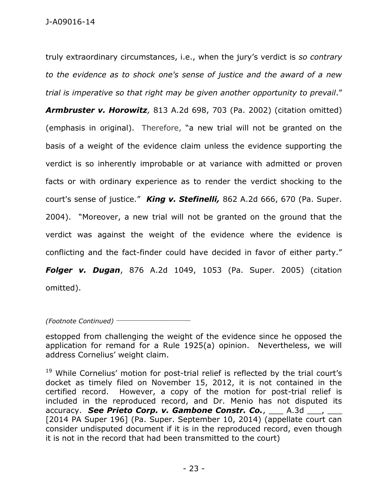truly extraordinary circumstances, i.e., when the jury's verdict is *so contrary to the evidence as to shock one's sense of justice and the award of a new trial is imperative so that right may be given another opportunity to prevail*."

*Armbruster v. Horowitz,* 813 A.2d 698, 703 (Pa. 2002) (citation omitted) (emphasis in original). Therefore, "a new trial will not be granted on the basis of a weight of the evidence claim unless the evidence supporting the verdict is so inherently improbable or at variance with admitted or proven facts or with ordinary experience as to render the verdict shocking to the court's sense of justice." *King v. Stefinelli,* 862 A.2d 666, 670 (Pa. Super. 2004). "Moreover, a new trial will not be granted on the ground that the verdict was against the weight of the evidence where the evidence is conflicting and the fact-finder could have decided in favor of either party." *Folger v. Dugan*, 876 A.2d 1049, 1053 (Pa. Super. 2005) (citation omitted).

*(Footnote Continued)* \_\_\_\_\_\_\_\_\_\_\_\_\_\_\_\_\_\_\_\_\_\_\_

estopped from challenging the weight of the evidence since he opposed the application for remand for a Rule 1925(a) opinion. Nevertheless, we will address Cornelius' weight claim.

<sup>19</sup> While Cornelius' motion for post-trial relief is reflected by the trial court's docket as timely filed on November 15, 2012, it is not contained in the certified record. However, a copy of the motion for post-trial relief is included in the reproduced record, and Dr. Menio has not disputed its accuracy. See Prieto Corp. v. Gambone Constr. Co., 1.3d 1.4. accuracy [2014 PA Super 196] (Pa. Super. September 10, 2014) (appellate court can consider undisputed document if it is in the reproduced record, even though it is not in the record that had been transmitted to the court)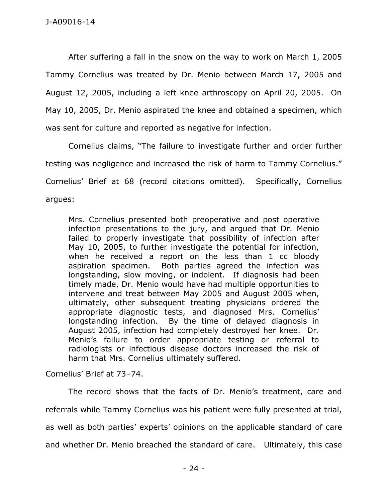After suffering a fall in the snow on the way to work on March 1, 2005 Tammy Cornelius was treated by Dr. Menio between March 17, 2005 and August 12, 2005, including a left knee arthroscopy on April 20, 2005. On May 10, 2005, Dr. Menio aspirated the knee and obtained a specimen, which was sent for culture and reported as negative for infection.

Cornelius claims, "The failure to investigate further and order further testing was negligence and increased the risk of harm to Tammy Cornelius." Cornelius' Brief at 68 (record citations omitted). Specifically, Cornelius argues:

Mrs. Cornelius presented both preoperative and post operative infection presentations to the jury, and argued that Dr. Menio failed to properly investigate that possibility of infection after May 10, 2005, to further investigate the potential for infection, when he received a report on the less than 1 cc bloody aspiration specimen. Both parties agreed the infection was longstanding, slow moving, or indolent. If diagnosis had been timely made, Dr. Menio would have had multiple opportunities to intervene and treat between May 2005 and August 2005 when, ultimately, other subsequent treating physicians ordered the appropriate diagnostic tests, and diagnosed Mrs. Cornelius' longstanding infection. By the time of delayed diagnosis in August 2005, infection had completely destroyed her knee. Dr. Menio's failure to order appropriate testing or referral to radiologists or infectious disease doctors increased the risk of harm that Mrs. Cornelius ultimately suffered.

Cornelius' Brief at 73–74.

The record shows that the facts of Dr. Menio's treatment, care and referrals while Tammy Cornelius was his patient were fully presented at trial, as well as both parties' experts' opinions on the applicable standard of care and whether Dr. Menio breached the standard of care. Ultimately, this case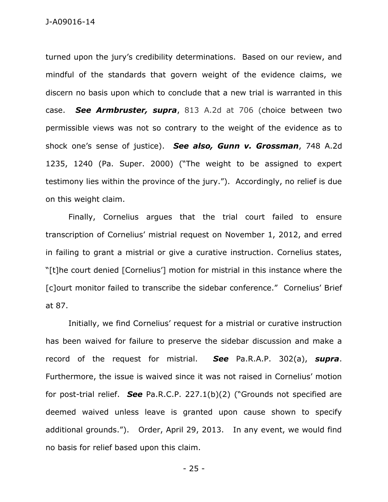turned upon the jury's credibility determinations. Based on our review, and mindful of the standards that govern weight of the evidence claims, we discern no basis upon which to conclude that a new trial is warranted in this case. *See Armbruster, supra*, 813 A.2d at 706 (choice between two permissible views was not so contrary to the weight of the evidence as to shock one's sense of justice). *See also, Gunn v. Grossman*, 748 A.2d 1235, 1240 (Pa. Super. 2000) ("The weight to be assigned to expert testimony lies within the province of the jury."). Accordingly, no relief is due on this weight claim.

Finally, Cornelius argues that the trial court failed to ensure transcription of Cornelius' mistrial request on November 1, 2012, and erred in failing to grant a mistrial or give a curative instruction. Cornelius states, "[t]he court denied [Cornelius'] motion for mistrial in this instance where the [c]ourt monitor failed to transcribe the sidebar conference." Cornelius' Brief at 87.

Initially, we find Cornelius' request for a mistrial or curative instruction has been waived for failure to preserve the sidebar discussion and make a record of the request for mistrial. *See* Pa.R.A.P. 302(a), *supra*. Furthermore, the issue is waived since it was not raised in Cornelius' motion for post-trial relief. *See* Pa.R.C.P. 227.1(b)(2) ("Grounds not specified are deemed waived unless leave is granted upon cause shown to specify additional grounds."). Order, April 29, 2013. In any event, we would find no basis for relief based upon this claim.

- 25 -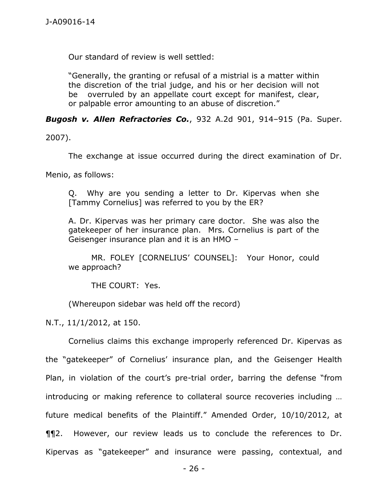Our standard of review is well settled:

"Generally, the granting or refusal of a mistrial is a matter within the discretion of the trial judge, and his or her decision will not be overruled by an appellate court except for manifest, clear, or palpable error amounting to an abuse of discretion."

*Bugosh v. Allen Refractories Co.*, 932 A.2d 901, 914–915 (Pa. Super.

2007).

The exchange at issue occurred during the direct examination of Dr.

Menio, as follows:

Q. Why are you sending a letter to Dr. Kipervas when she [Tammy Cornelius] was referred to you by the ER?

A. Dr. Kipervas was her primary care doctor. She was also the gatekeeper of her insurance plan. Mrs. Cornelius is part of the Geisenger insurance plan and it is an HMO –

MR. FOLEY [CORNELIUS' COUNSEL]: Your Honor, could we approach?

THE COURT: Yes.

(Whereupon sidebar was held off the record)

N.T., 11/1/2012, at 150.

Cornelius claims this exchange improperly referenced Dr. Kipervas as the "gatekeeper" of Cornelius' insurance plan, and the Geisenger Health Plan, in violation of the court's pre-trial order, barring the defense "from introducing or making reference to collateral source recoveries including … future medical benefits of the Plaintiff." Amended Order, 10/10/2012, at ¶¶2. However, our review leads us to conclude the references to Dr. Kipervas as "gatekeeper" and insurance were passing, contextual, and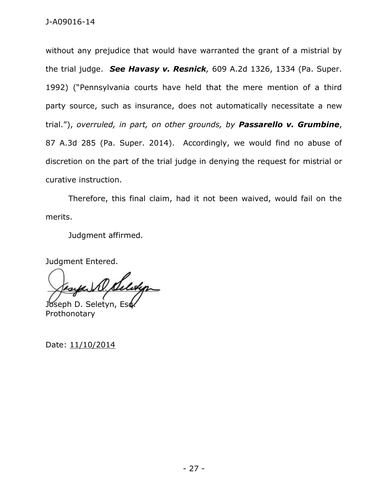without any prejudice that would have warranted the grant of a mistrial by the trial judge. *See Havasy v. Resnick,* 609 A.2d 1326, 1334 (Pa. Super. 1992) ("Pennsylvania courts have held that the mere mention of a third party source, such as insurance, does not automatically necessitate a new trial."), *overruled, in part, on other grounds, by Passarello v. Grumbine*, 87 A.3d 285 (Pa. Super. 2014). Accordingly, we would find no abuse of discretion on the part of the trial judge in denying the request for mistrial or curative instruction.

Therefore, this final claim, had it not been waived, would fail on the merits.

Judgment affirmed.

Judgment Entered.

W. Seleya Joseph D. Seletyn, Es

Prothonotary

Date: 11/10/2014